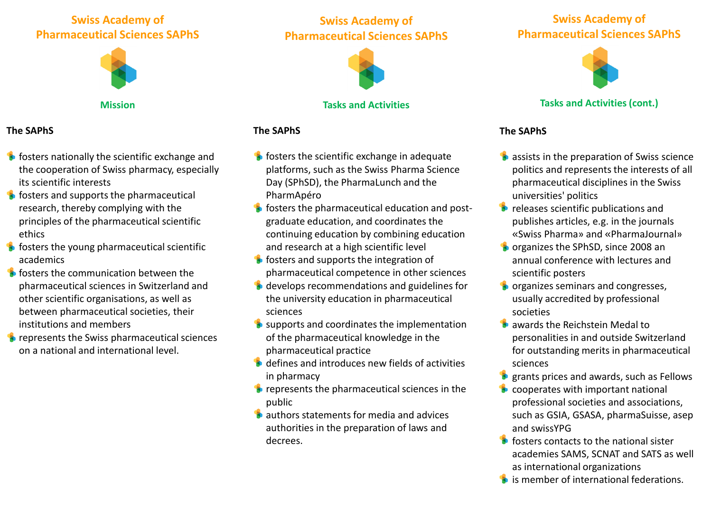# **Swiss Academy of Pharmaceutical Sciences SAPhS**



**Mission**

#### **The SAPhS**

- $\bullet$  fosters nationally the scientific exchange and the cooperation of Swiss pharmacy, especially its scientific interests
- $\bullet$  fosters and supports the pharmaceutical research, thereby complying with the principles of the pharmaceutical scientific ethics
- $\bullet$  fosters the young pharmaceutical scientific academics
- **fosters the communication between the** pharmaceutical sciences in Switzerland and other scientific organisations, as well as between pharmaceutical societies, their institutions and members
- $\bullet$  represents the Swiss pharmaceutical sciences on a national and international level.

# **Swiss Academy of Pharmaceutical Sciences SAPhS**



### **Tasks and Activities**

## **The SAPhS**

- $\bullet$  fosters the scientific exchange in adequate platforms, such as the Swiss Pharma Science Day (SPhSD), the PharmaLunch and the PharmApéro
- $\bullet$  fosters the pharmaceutical education and postgraduate education, and coordinates the continuing education by combining education and research at a high scientific level
- **fosters and supports the integration of** pharmaceutical competence in other sciences
- **develops recommendations and guidelines for** the university education in pharmaceutical sciences
- $\bullet$  supports and coordinates the implementation of the pharmaceutical knowledge in the pharmaceutical practice
- **b** defines and introduces new fields of activities in pharmacy
- $\bullet$  represents the pharmaceutical sciences in the public
- **Constitutions** statements for media and advices authorities in the preparation of laws and decrees.

## **Swiss Academy of Pharmaceutical Sciences SAPhS**



## **Tasks and Activities (cont.)**

## **The SAPhS**

- $\bullet$  assists in the preparation of Swiss science politics and represents the interests of all pharmaceutical disciplines in the Swiss universities' politics
- $\bullet$  releases scientific publications and publishes articles, e.g. in the journals «Swiss Pharma» and «PharmaJournal»
- **O** organizes the SPhSD, since 2008 an annual conference with lectures and scientific posters
- **Constructs** organizes seminars and congresses, usually accredited by professional societies
- awards the Reichstein Medal to personalities in and outside Switzerland for outstanding merits in pharmaceutical sciences
- grants prices and awards, such as Fellows
- cooperates with important national professional societies and associations, such as GSIA, GSASA, pharmaSuisse, asep and swissYPG
- $\bullet$  fosters contacts to the national sister academies SAMS, SCNAT and SATS as well as international organizations
- **is member of international federations.**